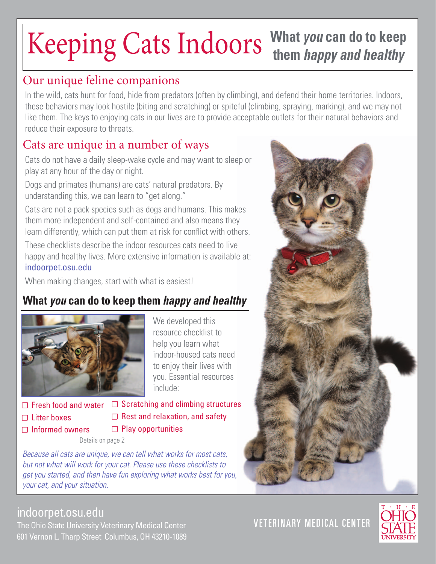# Keeping Cats Indoors **What** *you* **can do to keep them** *happy and healthy*

### Our unique feline companions

In the wild, cats hunt for food, hide from predators (often by climbing), and defend their home territories. Indoors, these behaviors may look hostile (biting and scratching) or spiteful (climbing, spraying, marking), and we may not like them. The keys to enjoying cats in our lives are to provide acceptable outlets for their natural behaviors and reduce their exposure to threats.

## Cats are unique in a number of ways

Cats do not have a daily sleep-wake cycle and may want to sleep or play at any hour of the day or night.

Dogs and primates (humans) are cats' natural predators. By understanding this, we can learn to "get along."

Cats are not a pack species such as dogs and humans. This makes them more independent and self-contained and also means they learn differently, which can put them at risk for conflict with others.

These checklists describe the indoor resources cats need to live happy and healthy lives. More extensive information is available at: indoorpet.osu.edu

When making changes, start with what is easiest!

### **What** *you* **can do to keep them** *happy and healthy*



We developed this resource checklist to help you learn what indoor-housed cats need to enjoy their lives with you. Essential resources include:

**☐** Litter boxes

**☐** Fresh food and water **☐** Scratching and climbing structures **☐** Rest and relaxation, and safety **☐** Play opportunities

**☐** Informed owners

Details on page 2

*Because all cats are unique, we can tell what works for most cats, but not what will work for your cat. Please use these checklists to get you started, and then have fun exploring what works best for you, your cat, and your situation.*

**VETERINARY MEDICAL CENTER** 



indoorpet.osu.edu

The Ohio State University Veterinary Medical Center 601 Vernon L. Tharp Street Columbus, OH 43210-1089